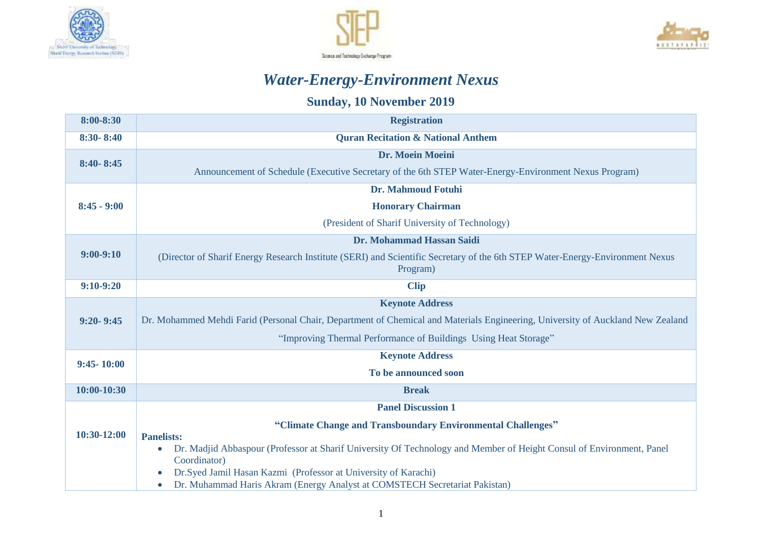





## *Water-Energy-Environment Nexus*

## **Sunday, 10 November 2019**

| 8:00-8:30      | <b>Registration</b>                                                                                                                                                                                                                      |  |  |  |
|----------------|------------------------------------------------------------------------------------------------------------------------------------------------------------------------------------------------------------------------------------------|--|--|--|
| $8:30 - 8:40$  | <b>Ouran Recitation &amp; National Anthem</b>                                                                                                                                                                                            |  |  |  |
| $8:40 - 8:45$  | Dr. Moein Moeini                                                                                                                                                                                                                         |  |  |  |
|                | Announcement of Schedule (Executive Secretary of the 6th STEP Water-Energy-Environment Nexus Program)                                                                                                                                    |  |  |  |
|                | <b>Dr. Mahmoud Fotuhi</b>                                                                                                                                                                                                                |  |  |  |
| $8:45 - 9:00$  | <b>Honorary Chairman</b>                                                                                                                                                                                                                 |  |  |  |
|                | (President of Sharif University of Technology)                                                                                                                                                                                           |  |  |  |
|                | Dr. Mohammad Hassan Saidi                                                                                                                                                                                                                |  |  |  |
| $9:00-9:10$    | (Director of Sharif Energy Research Institute (SERI) and Scientific Secretary of the 6th STEP Water-Energy-Environment Nexus<br>Program)                                                                                                 |  |  |  |
| $9:10-9:20$    | <b>Clip</b>                                                                                                                                                                                                                              |  |  |  |
|                | <b>Keynote Address</b>                                                                                                                                                                                                                   |  |  |  |
| $9:20 - 9:45$  | Dr. Mohammed Mehdi Farid (Personal Chair, Department of Chemical and Materials Engineering, University of Auckland New Zealand                                                                                                           |  |  |  |
|                | "Improving Thermal Performance of Buildings Using Heat Storage"                                                                                                                                                                          |  |  |  |
| $9:45 - 10:00$ | <b>Keynote Address</b>                                                                                                                                                                                                                   |  |  |  |
|                | To be announced soon                                                                                                                                                                                                                     |  |  |  |
| 10:00-10:30    | <b>Break</b>                                                                                                                                                                                                                             |  |  |  |
|                | <b>Panel Discussion 1</b>                                                                                                                                                                                                                |  |  |  |
| 10:30-12:00    | "Climate Change and Transboundary Environmental Challenges"                                                                                                                                                                              |  |  |  |
|                | <b>Panelists:</b><br>Dr. Madjid Abbaspour (Professor at Sharif University Of Technology and Member of Height Consul of Environment, Panel<br>$\bullet$<br>Coordinator)<br>Dr.Syed Jamil Hasan Kazmi (Professor at University of Karachi) |  |  |  |
|                | Dr. Muhammad Haris Akram (Energy Analyst at COMSTECH Secretariat Pakistan)<br>$\bullet$                                                                                                                                                  |  |  |  |